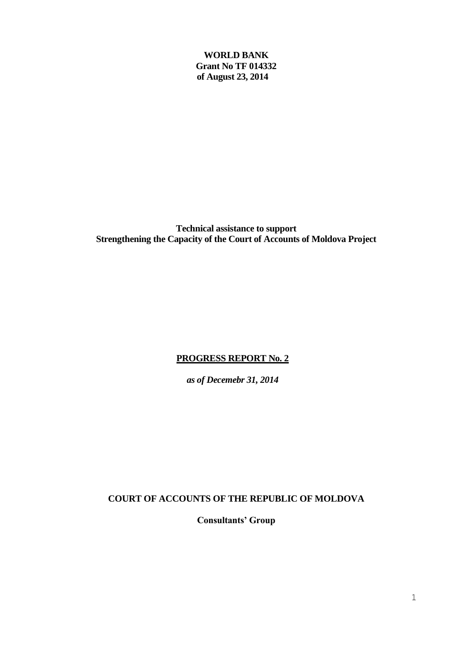**WORLD BANK Grant No TF 014332 of August 23, 2014**

**Technical assistance to support Strengthening the Capacity of the Court of Accounts of Moldova Project**

# **PROGRESS REPORT No. 2**

*as of Decemebr 31, 2014*

**COURT OF ACCOUNTS OF THE REPUBLIC OF MOLDOVA** 

**Consultants' Group**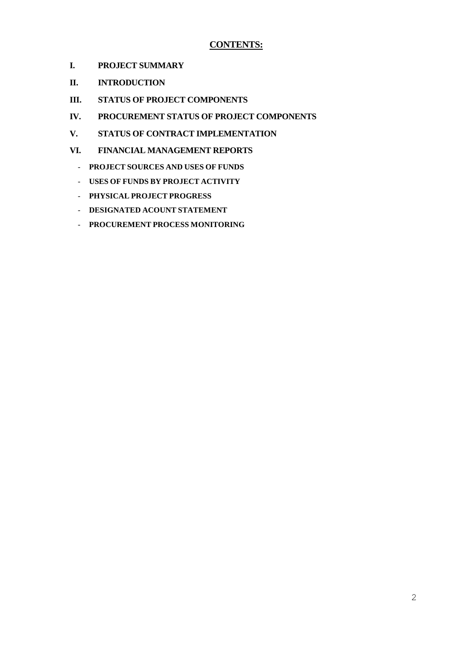## **CONTENTS:**

- **I. PROJECT SUMMARY**
- **II. INTRODUCTION**
- **III. STATUS OF PROJECT COMPONENTS**
- **IV. PROCUREMENT STATUS OF PROJECT COMPONENTS**
- **V. STATUS OF CONTRACT IMPLEMENTATION**
- **VI. FINANCIAL MANAGEMENT REPORTS**
	- **PROJECT SOURCES AND USES OF FUNDS**
	- **USES OF FUNDS BY PROJECT ACTIVITY**
	- **PHYSICAL PROJECT PROGRESS**
	- **DESIGNATED ACOUNT STATEMENT**
	- **PROCUREMENT PROCESS MONITORING**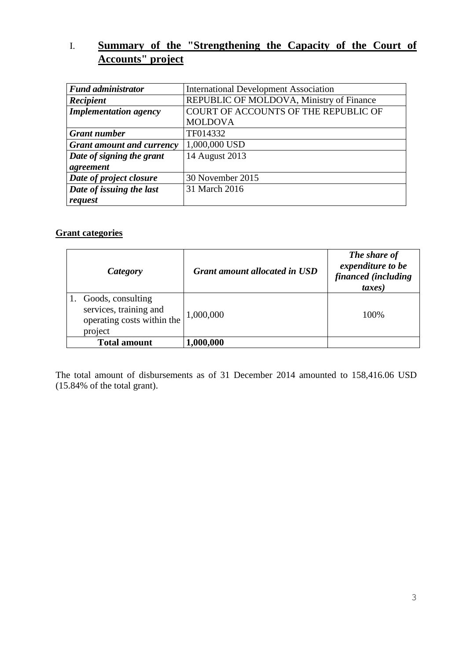# I. **Summary of the "Strengthening the Capacity of the Court of Accounts" project**

| <b>Fund administrator</b>        | <b>International Development Association</b> |  |
|----------------------------------|----------------------------------------------|--|
| Recipient                        | REPUBLIC OF MOLDOVA, Ministry of Finance     |  |
| <b>Implementation agency</b>     | COURT OF ACCOUNTS OF THE REPUBLIC OF         |  |
|                                  | <b>MOLDOVA</b>                               |  |
| <b>Grant number</b>              | TF014332                                     |  |
| <b>Grant amount and currency</b> | 1,000,000 USD                                |  |
| Date of signing the grant        | 14 August 2013                               |  |
| agreement                        |                                              |  |
| Date of project closure          | 30 November 2015                             |  |
| Date of issuing the last         | 31 March 2016                                |  |
| request                          |                                              |  |

# **Grant categories**

| Category                                                                             | <b>Grant amount allocated in USD</b> | The share of<br>expenditure to be<br>financed (including<br>taxes) |
|--------------------------------------------------------------------------------------|--------------------------------------|--------------------------------------------------------------------|
| Goods, consulting<br>services, training and<br>operating costs within the<br>project | 1,000,000                            | 100\%                                                              |
| <b>Total amount</b>                                                                  | 1,000,000                            |                                                                    |

The total amount of disbursements as of 31 December 2014 amounted to 158,416.06 USD (15.84% of the total grant).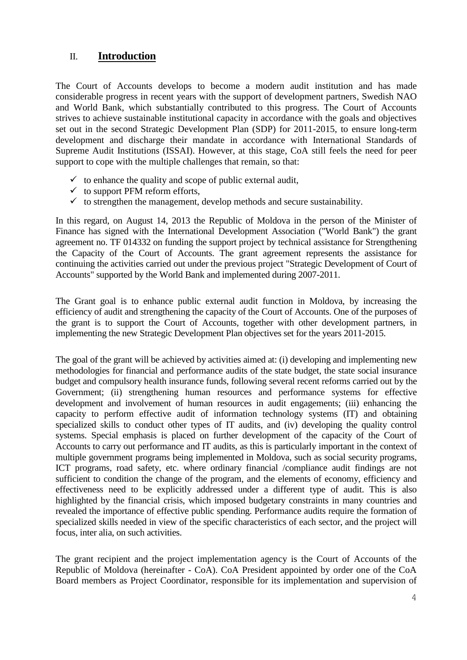# II. **Introduction**

The Court of Accounts develops to become a modern audit institution and has made considerable progress in recent years with the support of development partners, Swedish NAO and World Bank, which substantially contributed to this progress. The Court of Accounts strives to achieve sustainable institutional capacity in accordance with the goals and objectives set out in the second Strategic Development Plan (SDP) for 2011-2015, to ensure long-term development and discharge their mandate in accordance with International Standards of Supreme Audit Institutions (ISSAI). However, at this stage, CoA still feels the need for peer support to cope with the multiple challenges that remain, so that:

- $\checkmark$  to enhance the quality and scope of public external audit,
- $\checkmark$  to support PFM reform efforts,
- $\checkmark$  to strengthen the management, develop methods and secure sustainability.

In this regard, on August 14, 2013 the Republic of Moldova in the person of the Minister of Finance has signed with the International Development Association ("World Bank") the grant agreement no. TF 014332 on funding the support project by technical assistance for Strengthening the Capacity of the Court of Accounts. The grant agreement represents the assistance for continuing the activities carried out under the previous project "Strategic Development of Court of Accounts" supported by the World Bank and implemented during 2007-2011.

The Grant goal is to enhance public external audit function in Moldova, by increasing the efficiency of audit and strengthening the capacity of the Court of Accounts. One of the purposes of the grant is to support the Court of Accounts, together with other development partners, in implementing the new Strategic Development Plan objectives set for the years 2011-2015.

The goal of the grant will be achieved by activities aimed at: (i) developing and implementing new methodologies for financial and performance audits of the state budget, the state social insurance budget and compulsory health insurance funds, following several recent reforms carried out by the Government; (ii) strengthening human resources and performance systems for effective development and involvement of human resources in audit engagements; (iii) enhancing the capacity to perform effective audit of information technology systems (IT) and obtaining specialized skills to conduct other types of IT audits, and (iv) developing the quality control systems. Special emphasis is placed on further development of the capacity of the Court of Accounts to carry out performance and IT audits, as this is particularly important in the context of multiple government programs being implemented in Moldova, such as social security programs, ICT programs, road safety, etc. where ordinary financial /compliance audit findings are not sufficient to condition the change of the program, and the elements of economy, efficiency and effectiveness need to be explicitly addressed under a different type of audit. This is also highlighted by the financial crisis, which imposed budgetary constraints in many countries and revealed the importance of effective public spending. Performance audits require the formation of specialized skills needed in view of the specific characteristics of each sector, and the project will focus, inter alia, on such activities.

The grant recipient and the project implementation agency is the Court of Accounts of the Republic of Moldova (hereinafter - CoA). CoA President appointed by order one of the CoA Board members as Project Coordinator, responsible for its implementation and supervision of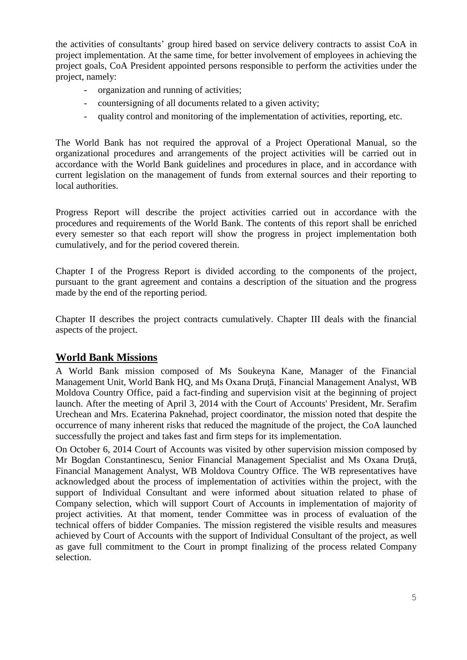the activities of consultants' group hired based on service delivery contracts to assist CoA in project implementation. At the same time, for better involvement of employees in achieving the project goals, CoA President appointed persons responsible to perform the activities under the project, namely:

- organization and running of activities;
- countersigning of all documents related to a given activity;
- quality control and monitoring of the implementation of activities, reporting, etc.

The World Bank has not required the approval of a Project Operational Manual, so the organizational procedures and arrangements of the project activities will be carried out in accordance with the World Bank guidelines and procedures in place, and in accordance with current legislation on the management of funds from external sources and their reporting to local authorities.

Progress Report will describe the project activities carried out in accordance with the procedures and requirements of the World Bank. The contents of this report shall be enriched every semester so that each report will show the progress in project implementation both cumulatively, and for the period covered therein.

Chapter I of the Progress Report is divided according to the components of the project, pursuant to the grant agreement and contains a description of the situation and the progress made by the end of the reporting period.

Chapter II describes the project contracts cumulatively. Chapter III deals with the financial aspects of the project.

# **World Bank Missions**

A World Bank mission composed of Ms Soukeyna Kane, Manager of the Financial Management Unit, World Bank HO, and Ms Oxana Drută, Financial Management Analyst, WB Moldova Country Office, paid a fact-finding and supervision visit at the beginning of project launch. After the meeting of April 3, 2014 with the Court of Accounts' President, Mr. Serafim Urechean and Mrs. Ecaterina Paknehad, project coordinator, the mission noted that despite the occurrence of many inherent risks that reduced the magnitude of the project, the CoA launched successfully the project and takes fast and firm steps for its implementation.

On October 6, 2014 Court of Accounts was visited by other supervision mission composed by Mr Bogdan Constantinescu, Senior Financial Management Specialist and Ms Oxana Druţă, Financial Management Analyst, WB Moldova Country Office. The WB representatives have acknowledged about the process of implementation of activities within the project, with the support of Individual Consultant and were informed about situation related to phase of Company selection, which will support Court of Accounts in implementation of majority of project activities. At that moment, tender Committee was in process of evaluation of the technical offers of bidder Companies. The mission registered the visible results and measures achieved by Court of Accounts with the support of Individual Consultant of the project, as well as gave full commitment to the Court in prompt finalizing of the process related Company selection.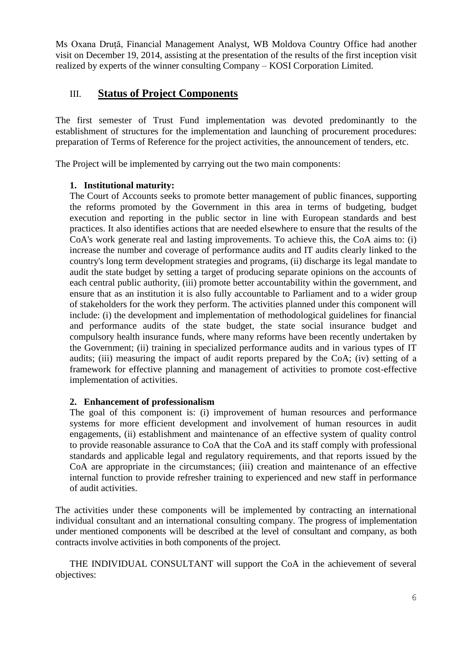Ms Oxana Druță, Financial Management Analyst, WB Moldova Country Office had another visit on December 19, 2014, assisting at the presentation of the results of the first inception visit realized by experts of the winner consulting Company – KOSI Corporation Limited.

# III. **Status of Project Components**

The first semester of Trust Fund implementation was devoted predominantly to the establishment of structures for the implementation and launching of procurement procedures: preparation of Terms of Reference for the project activities, the announcement of tenders, etc.

The Project will be implemented by carrying out the two main components:

### **1. Institutional maturity:**

The Court of Accounts seeks to promote better management of public finances, supporting the reforms promoted by the Government in this area in terms of budgeting, budget execution and reporting in the public sector in line with European standards and best practices. It also identifies actions that are needed elsewhere to ensure that the results of the CoA's work generate real and lasting improvements. To achieve this, the CoA aims to: (i) increase the number and coverage of performance audits and IT audits clearly linked to the country's long term development strategies and programs, (ii) discharge its legal mandate to audit the state budget by setting a target of producing separate opinions on the accounts of each central public authority, (iii) promote better accountability within the government, and ensure that as an institution it is also fully accountable to Parliament and to a wider group of stakeholders for the work they perform. The activities planned under this component will include: (i) the development and implementation of methodological guidelines for financial and performance audits of the state budget, the state social insurance budget and compulsory health insurance funds, where many reforms have been recently undertaken by the Government; (ii) training in specialized performance audits and in various types of IT audits; (iii) measuring the impact of audit reports prepared by the CoA; (iv) setting of a framework for effective planning and management of activities to promote cost-effective implementation of activities.

#### **2. Enhancement of professionalism**

The goal of this component is: (i) improvement of human resources and performance systems for more efficient development and involvement of human resources in audit engagements, (ii) establishment and maintenance of an effective system of quality control to provide reasonable assurance to CoA that the CoA and its staff comply with professional standards and applicable legal and regulatory requirements, and that reports issued by the CoA are appropriate in the circumstances; (iii) creation and maintenance of an effective internal function to provide refresher training to experienced and new staff in performance of audit activities.

The activities under these components will be implemented by contracting an international individual consultant and an international consulting company. The progress of implementation under mentioned components will be described at the level of consultant and company, as both contracts involve activities in both components of the project.

THE INDIVIDUAL CONSULTANT will support the CoA in the achievement of several objectives: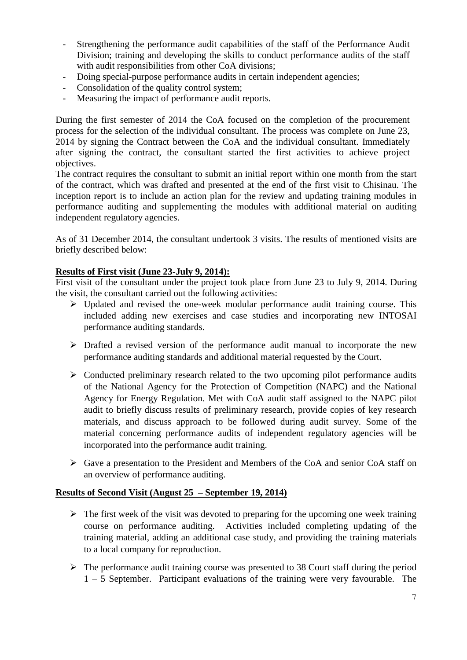- Strengthening the performance audit capabilities of the staff of the Performance Audit Division; training and developing the skills to conduct performance audits of the staff with audit responsibilities from other CoA divisions:
- Doing special-purpose performance audits in certain independent agencies;
- Consolidation of the quality control system;
- Measuring the impact of performance audit reports.

During the first semester of 2014 the CoA focused on the completion of the procurement process for the selection of the individual consultant. The process was complete on June 23, 2014 by signing the Contract between the CoA and the individual consultant. Immediately after signing the contract, the consultant started the first activities to achieve project objectives.

The contract requires the consultant to submit an initial report within one month from the start of the contract, which was drafted and presented at the end of the first visit to Chisinau. The inception report is to include an action plan for the review and updating training modules in performance auditing and supplementing the modules with additional material on auditing independent regulatory agencies.

As of 31 December 2014, the consultant undertook 3 visits. The results of mentioned visits are briefly described below:

#### **Results of First visit (June 23-July 9, 2014):**

First visit of the consultant under the project took place from June 23 to July 9, 2014. During the visit, the consultant carried out the following activities:

- $\triangleright$  Updated and revised the one-week modular performance audit training course. This included adding new exercises and case studies and incorporating new INTOSAI performance auditing standards.
- $\triangleright$  Drafted a revised version of the performance audit manual to incorporate the new performance auditing standards and additional material requested by the Court.
- $\triangleright$  Conducted preliminary research related to the two upcoming pilot performance audits of the National Agency for the Protection of Competition (NAPC) and the National Agency for Energy Regulation. Met with CoA audit staff assigned to the NAPC pilot audit to briefly discuss results of preliminary research, provide copies of key research materials, and discuss approach to be followed during audit survey. Some of the material concerning performance audits of independent regulatory agencies will be incorporated into the performance audit training.
- Gave a presentation to the President and Members of the CoA and senior CoA staff on an overview of performance auditing.

#### **Results of Second Visit (August 25 – September 19, 2014)**

- $\triangleright$  The first week of the visit was devoted to preparing for the upcoming one week training course on performance auditing. Activities included completing updating of the training material, adding an additional case study, and providing the training materials to a local company for reproduction.
- $\triangleright$  The performance audit training course was presented to 38 Court staff during the period 1 – 5 September. Participant evaluations of the training were very favourable. The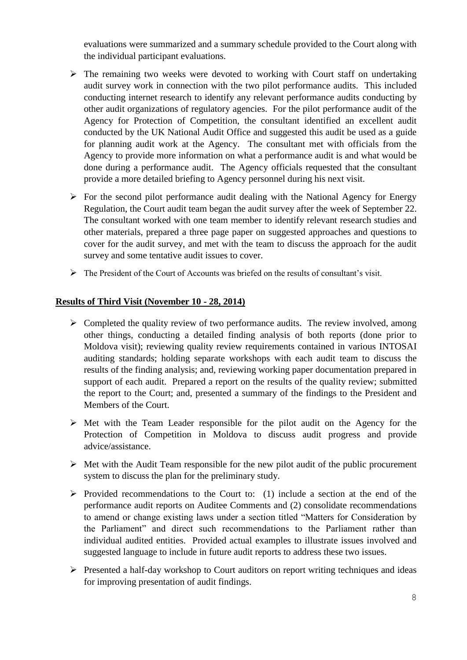evaluations were summarized and a summary schedule provided to the Court along with the individual participant evaluations.

- $\triangleright$  The remaining two weeks were devoted to working with Court staff on undertaking audit survey work in connection with the two pilot performance audits. This included conducting internet research to identify any relevant performance audits conducting by other audit organizations of regulatory agencies. For the pilot performance audit of the Agency for Protection of Competition, the consultant identified an excellent audit conducted by the UK National Audit Office and suggested this audit be used as a guide for planning audit work at the Agency. The consultant met with officials from the Agency to provide more information on what a performance audit is and what would be done during a performance audit. The Agency officials requested that the consultant provide a more detailed briefing to Agency personnel during his next visit.
- $\triangleright$  For the second pilot performance audit dealing with the National Agency for Energy Regulation, the Court audit team began the audit survey after the week of September 22. The consultant worked with one team member to identify relevant research studies and other materials, prepared a three page paper on suggested approaches and questions to cover for the audit survey, and met with the team to discuss the approach for the audit survey and some tentative audit issues to cover.
- $\triangleright$  The President of the Court of Accounts was briefed on the results of consultant's visit.

### **Results of Third Visit (November 10 - 28, 2014)**

- $\triangleright$  Completed the quality review of two performance audits. The review involved, among other things, conducting a detailed finding analysis of both reports (done prior to Moldova visit); reviewing quality review requirements contained in various INTOSAI auditing standards; holding separate workshops with each audit team to discuss the results of the finding analysis; and, reviewing working paper documentation prepared in support of each audit. Prepared a report on the results of the quality review; submitted the report to the Court; and, presented a summary of the findings to the President and Members of the Court.
- $\triangleright$  Met with the Team Leader responsible for the pilot audit on the Agency for the Protection of Competition in Moldova to discuss audit progress and provide advice/assistance.
- $\triangleright$  Met with the Audit Team responsible for the new pilot audit of the public procurement system to discuss the plan for the preliminary study.
- $\triangleright$  Provided recommendations to the Court to: (1) include a section at the end of the performance audit reports on Auditee Comments and (2) consolidate recommendations to amend or change existing laws under a section titled "Matters for Consideration by the Parliament" and direct such recommendations to the Parliament rather than individual audited entities. Provided actual examples to illustrate issues involved and suggested language to include in future audit reports to address these two issues.
- $\triangleright$  Presented a half-day workshop to Court auditors on report writing techniques and ideas for improving presentation of audit findings.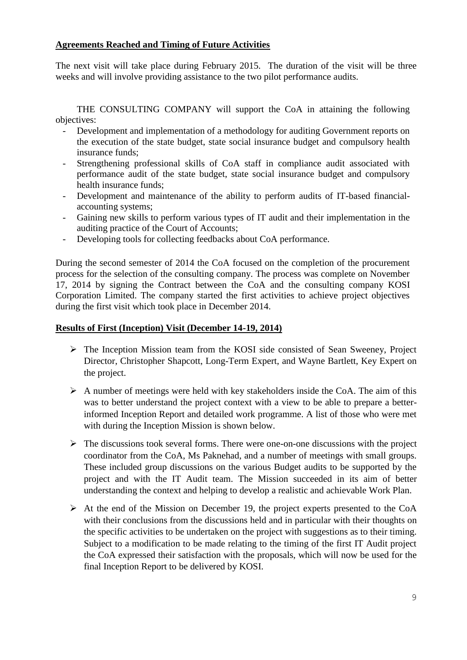## **Agreements Reached and Timing of Future Activities**

The next visit will take place during February 2015. The duration of the visit will be three weeks and will involve providing assistance to the two pilot performance audits.

THE CONSULTING COMPANY will support the CoA in attaining the following objectives:

- Development and implementation of a methodology for auditing Government reports on the execution of the state budget, state social insurance budget and compulsory health insurance funds;
- Strengthening professional skills of CoA staff in compliance audit associated with performance audit of the state budget, state social insurance budget and compulsory health insurance funds;
- Development and maintenance of the ability to perform audits of IT-based financialaccounting systems;
- Gaining new skills to perform various types of IT audit and their implementation in the auditing practice of the Court of Accounts;
- Developing tools for collecting feedbacks about CoA performance.

During the second semester of 2014 the CoA focused on the completion of the procurement process for the selection of the consulting company. The process was complete on November 17, 2014 by signing the Contract between the CoA and the consulting company KOSI Corporation Limited. The company started the first activities to achieve project objectives during the first visit which took place in December 2014.

## **Results of First (Inception) Visit (December 14-19, 2014)**

- $\triangleright$  The Inception Mission team from the KOSI side consisted of Sean Sweeney, Project Director, Christopher Shapcott, Long-Term Expert, and Wayne Bartlett, Key Expert on the project.
- $\triangleright$  A number of meetings were held with key stakeholders inside the CoA. The aim of this was to better understand the project context with a view to be able to prepare a betterinformed Inception Report and detailed work programme. A list of those who were met with during the Inception Mission is shown below.
- $\triangleright$  The discussions took several forms. There were one-on-one discussions with the project coordinator from the CoA, Ms Paknehad, and a number of meetings with small groups. These included group discussions on the various Budget audits to be supported by the project and with the IT Audit team. The Mission succeeded in its aim of better understanding the context and helping to develop a realistic and achievable Work Plan.
- At the end of the Mission on December 19, the project experts presented to the CoA with their conclusions from the discussions held and in particular with their thoughts on the specific activities to be undertaken on the project with suggestions as to their timing. Subject to a modification to be made relating to the timing of the first IT Audit project the CoA expressed their satisfaction with the proposals, which will now be used for the final Inception Report to be delivered by KOSI.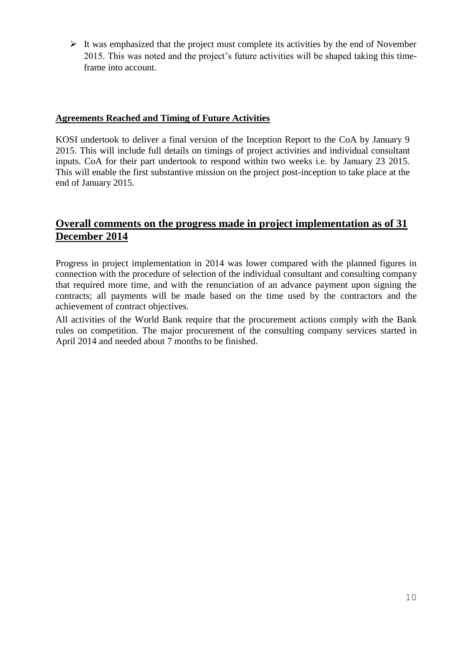$\triangleright$  It was emphasized that the project must complete its activities by the end of November 2015. This was noted and the project's future activities will be shaped taking this timeframe into account.

### **Agreements Reached and Timing of Future Activities**

KOSI undertook to deliver a final version of the Inception Report to the CoA by January 9 2015. This will include full details on timings of project activities and individual consultant inputs. CoA for their part undertook to respond within two weeks i.e. by January 23 2015. This will enable the first substantive mission on the project post-inception to take place at the end of January 2015.

# **Overall comments on the progress made in project implementation as of 31 December 2014**

Progress in project implementation in 2014 was lower compared with the planned figures in connection with the procedure of selection of the individual consultant and consulting company that required more time, and with the renunciation of an advance payment upon signing the contracts; all payments will be made based on the time used by the contractors and the achievement of contract objectives.

All activities of the World Bank require that the procurement actions comply with the Bank rules on competition. The major procurement of the consulting company services started in April 2014 and needed about 7 months to be finished.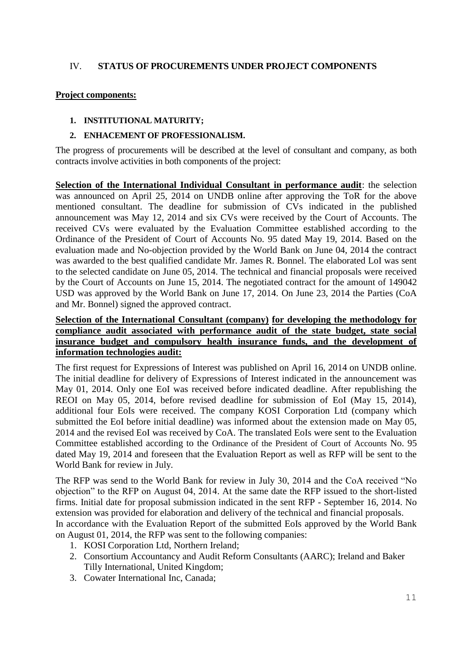## IV. **STATUS OF PROCUREMENTS UNDER PROJECT COMPONENTS**

#### **Project components:**

#### **1. INSTITUTIONAL MATURITY;**

### **2. ENHACEMENT OF PROFESSIONALISM.**

The progress of procurements will be described at the level of consultant and company, as both contracts involve activities in both components of the project:

**Selection of the International Individual Consultant in performance audit**: the selection was announced on April 25, 2014 on UNDB online after approving the ToR for the above mentioned consultant. The deadline for submission of CVs indicated in the published announcement was May 12, 2014 and six CVs were received by the Court of Accounts. The received CVs were evaluated by the Evaluation Committee established according to the Ordinance of the President of Court of Accounts No. 95 dated May 19, 2014. Based on the evaluation made and No-objection provided by the World Bank on June 04, 2014 the contract was awarded to the best qualified candidate Mr. James R. Bonnel. The elaborated LoI was sent to the selected candidate on June 05, 2014. The technical and financial proposals were received by the Court of Accounts on June 15, 2014. The negotiated contract for the amount of 149042 USD was approved by the World Bank on June 17, 2014. On June 23, 2014 the Parties (CoA and Mr. Bonnel) signed the approved contract.

## **Selection of the International Consultant (company) for developing the methodology for compliance audit associated with performance audit of the state budget, state social insurance budget and compulsory health insurance funds, and the development of information technologies audit:**

The first request for Expressions of Interest was published on April 16, 2014 on UNDB online. The initial deadline for delivery of Expressions of Interest indicated in the announcement was May 01, 2014. Only one EoI was received before indicated deadline. After republishing the REOI on May 05, 2014, before revised deadline for submission of EoI (May 15, 2014), additional four EoIs were received. The company KOSI Corporation Ltd (company which submitted the EoI before initial deadline) was informed about the extension made on May 05, 2014 and the revised EoI was received by CoA. The translated EoIs were sent to the Evaluation Committee established according to the Ordinance of the President of Court of Accounts No. 95 dated May 19, 2014 and foreseen that the Evaluation Report as well as RFP will be sent to the World Bank for review in July.

The RFP was send to the World Bank for review in July 30, 2014 and the CoA received "No objection" to the RFP on August 04, 2014. At the same date the RFP issued to the short-listed firms. Initial date for proposal submission indicated in the sent RFP - September 16, 2014. No extension was provided for elaboration and delivery of the technical and financial proposals. In accordance with the Evaluation Report of the submitted EoIs approved by the World Bank on August 01, 2014, the RFP was sent to the following companies:

- 1. KOSI Corporation Ltd, Northern Ireland;
- 2. Consortium Accountancy and Audit Reform Consultants (AARC); Ireland and Baker Tilly International, United Kingdom;
- 3. Cowater International Inc, Canada;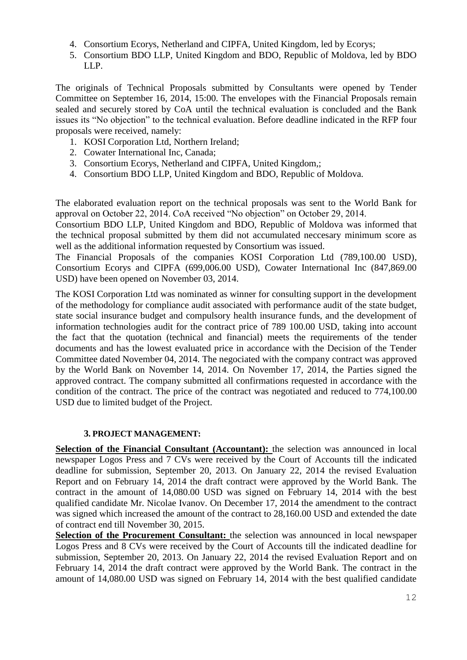- 4. Consortium Ecorys, Netherland and CIPFA, United Kingdom, led by Ecorys;
- 5. Consortium BDO LLP, United Kingdom and BDO, Republic of Moldova, led by BDO LLP.

The originals of Technical Proposals submitted by Consultants were opened by Tender Committee on September 16, 2014, 15:00. The envelopes with the Financial Proposals remain sealed and securely stored by CoA until the technical evaluation is concluded and the Bank issues its "No objection" to the technical evaluation. Before deadline indicated in the RFP four proposals were received, namely:

- 1. KOSI Corporation Ltd, Northern Ireland;
- 2. Cowater International Inc, Canada;
- 3. Consortium Ecorys, Netherland and CIPFA, United Kingdom,;
- 4. Consortium BDO LLP, United Kingdom and BDO, Republic of Moldova.

The elaborated evaluation report on the technical proposals was sent to the World Bank for approval on October 22, 2014. CoA received "No objection" on October 29, 2014.

Consortium BDO LLP, United Kingdom and BDO, Republic of Moldova was informed that the technical proposal submitted by them did not accumulated neccesary minimum score as well as the additional information requested by Consortium was issued.

The Financial Proposals of the companies KOSI Corporation Ltd (789,100.00 USD), Consortium Ecorys and CIPFA (699,006.00 USD), Cowater International Inc (847,869.00 USD) have been opened on November 03, 2014.

The KOSI Corporation Ltd was nominated as winner for consulting support in the development of the methodology for compliance audit associated with performance audit of the state budget, state social insurance budget and compulsory health insurance funds, and the development of information technologies audit for the contract price of 789 100.00 USD, taking into account the fact that the quotation (technical and financial) meets the requirements of the tender documents and has the lowest evaluated price in accordance with the Decision of the Tender Committee dated November 04, 2014. The negociated with the company contract was approved by the World Bank on November 14, 2014. On November 17, 2014, the Parties signed the approved contract. The company submitted all confirmations requested in accordance with the condition of the contract. The price of the contract was negotiated and reduced to 774,100.00 USD due to limited budget of the Project.

## **3. PROJECT MANAGEMENT:**

**Selection of the Financial Consultant (Accountant):** the selection was announced in local newspaper Logos Press and 7 CVs were received by the Court of Accounts till the indicated deadline for submission, September 20, 2013. On January 22, 2014 the revised Evaluation Report and on February 14, 2014 the draft contract were approved by the World Bank. The contract in the amount of 14,080.00 USD was signed on February 14, 2014 with the best qualified candidate Mr. Nicolae Ivanov. On December 17, 2014 the amendment to the contract was signed which increased the amount of the contract to 28,160.00 USD and extended the date of contract end till November 30, 2015.

**Selection of the Procurement Consultant:** the selection was announced in local newspaper Logos Press and 8 CVs were received by the Court of Accounts till the indicated deadline for submission, September 20, 2013. On January 22, 2014 the revised Evaluation Report and on February 14, 2014 the draft contract were approved by the World Bank. The contract in the amount of 14,080.00 USD was signed on February 14, 2014 with the best qualified candidate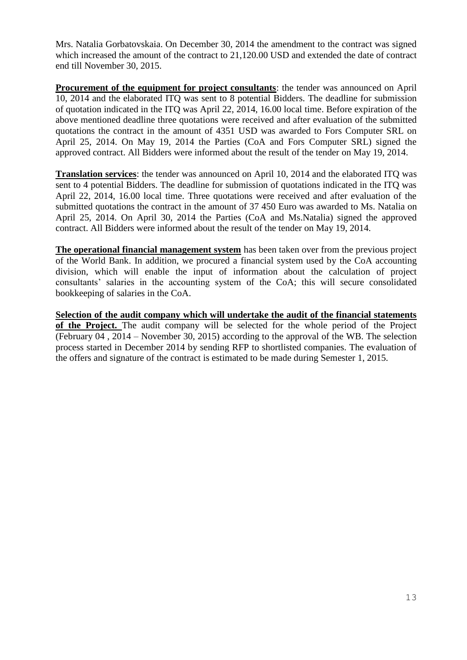Mrs. Natalia Gorbatovskaia. On December 30, 2014 the amendment to the contract was signed which increased the amount of the contract to 21,120.00 USD and extended the date of contract end till November 30, 2015.

**Procurement of the equipment for project consultants**: the tender was announced on April 10, 2014 and the elaborated ITQ was sent to 8 potential Bidders. The deadline for submission of quotation indicated in the ITQ was April 22, 2014, 16.00 local time. Before expiration of the above mentioned deadline three quotations were received and after evaluation of the submitted quotations the contract in the amount of 4351 USD was awarded to Fors Computer SRL on April 25, 2014. On May 19, 2014 the Parties (CoA and Fors Computer SRL) signed the approved contract. All Bidders were informed about the result of the tender on May 19, 2014.

**Translation services**: the tender was announced on April 10, 2014 and the elaborated ITQ was sent to 4 potential Bidders. The deadline for submission of quotations indicated in the ITQ was April 22, 2014, 16.00 local time. Three quotations were received and after evaluation of the submitted quotations the contract in the amount of 37 450 Euro was awarded to Ms. Natalia on April 25, 2014. On April 30, 2014 the Parties (CoA and Ms.Natalia) signed the approved contract. All Bidders were informed about the result of the tender on May 19, 2014.

**The operational financial management system** has been taken over from the previous project of the World Bank. In addition, we procured a financial system used by the CoA accounting division, which will enable the input of information about the calculation of project consultants' salaries in the accounting system of the CoA; this will secure consolidated bookkeeping of salaries in the CoA.

**Selection of the audit company which will undertake the audit of the financial statements of the Project.** The audit company will be selected for the whole period of the Project (February 04 , 2014 – November 30, 2015) according to the approval of the WB. The selection process started in December 2014 by sending RFP to shortlisted companies. The evaluation of the offers and signature of the contract is estimated to be made during Semester 1, 2015.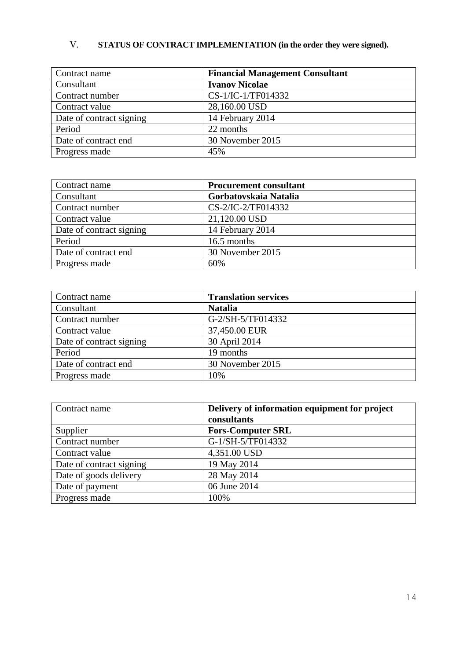# V. **STATUS OF CONTRACT IMPLEMENTATION (in the order they were signed).**

| Contract name            | <b>Financial Management Consultant</b> |
|--------------------------|----------------------------------------|
| Consultant               | <b>Ivanov Nicolae</b>                  |
| Contract number          | CS-1/IC-1/TF014332                     |
| Contract value           | 28,160.00 USD                          |
| Date of contract signing | 14 February 2014                       |
| Period                   | 22 months                              |
| Date of contract end     | 30 November 2015                       |
| Progress made            | 45%                                    |

| Contract name            | <b>Procurement consultant</b> |
|--------------------------|-------------------------------|
| Consultant               | Gorbatovskaia Natalia         |
| Contract number          | CS-2/IC-2/TF014332            |
| Contract value           | 21,120.00 USD                 |
| Date of contract signing | 14 February 2014              |
| Period                   | 16.5 months                   |
| Date of contract end     | 30 November 2015              |
| Progress made            | 60%                           |

| Contract name            | <b>Translation services</b> |
|--------------------------|-----------------------------|
| Consultant               | <b>Natalia</b>              |
| Contract number          | G-2/SH-5/TF014332           |
| Contract value           | 37,450.00 EUR               |
| Date of contract signing | 30 April 2014               |
| Period                   | 19 months                   |
| Date of contract end     | 30 November 2015            |
| Progress made            | 10%                         |

| Contract name            | Delivery of information equipment for project |
|--------------------------|-----------------------------------------------|
|                          | consultants                                   |
| Supplier                 | <b>Fors-Computer SRL</b>                      |
| Contract number          | G-1/SH-5/TF014332                             |
| Contract value           | 4,351.00 USD                                  |
| Date of contract signing | 19 May 2014                                   |
| Date of goods delivery   | 28 May 2014                                   |
| Date of payment          | 06 June 2014                                  |
| Progress made            | 100%                                          |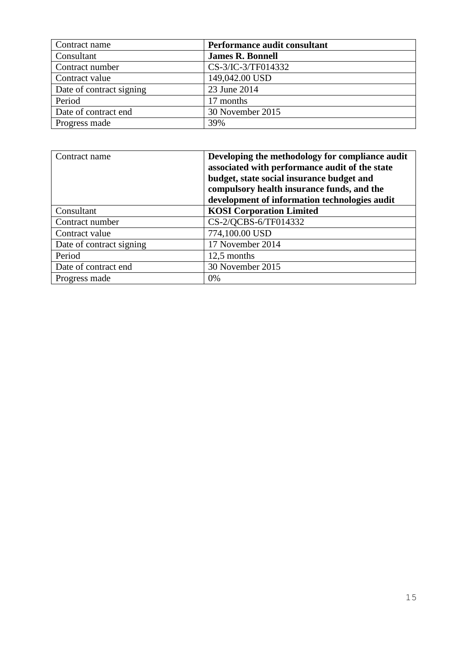| Contract name            | Performance audit consultant |
|--------------------------|------------------------------|
| Consultant               | <b>James R. Bonnell</b>      |
| Contract number          | CS-3/IC-3/TF014332           |
| Contract value           | 149,042.00 USD               |
| Date of contract signing | 23 June 2014                 |
| Period                   | 17 months                    |
| Date of contract end     | 30 November 2015             |
| Progress made            | 39%                          |

| Contract name            | Developing the methodology for compliance audit<br>associated with performance audit of the state<br>budget, state social insurance budget and<br>compulsory health insurance funds, and the<br>development of information technologies audit |
|--------------------------|-----------------------------------------------------------------------------------------------------------------------------------------------------------------------------------------------------------------------------------------------|
| Consultant               | <b>KOSI</b> Corporation Limited                                                                                                                                                                                                               |
| Contract number          | CS-2/QCBS-6/TF014332                                                                                                                                                                                                                          |
| Contract value           | 774,100.00 USD                                                                                                                                                                                                                                |
| Date of contract signing | 17 November 2014                                                                                                                                                                                                                              |
| Period                   | 12,5 months                                                                                                                                                                                                                                   |
| Date of contract end     | 30 November 2015                                                                                                                                                                                                                              |
| Progress made            | 0%                                                                                                                                                                                                                                            |